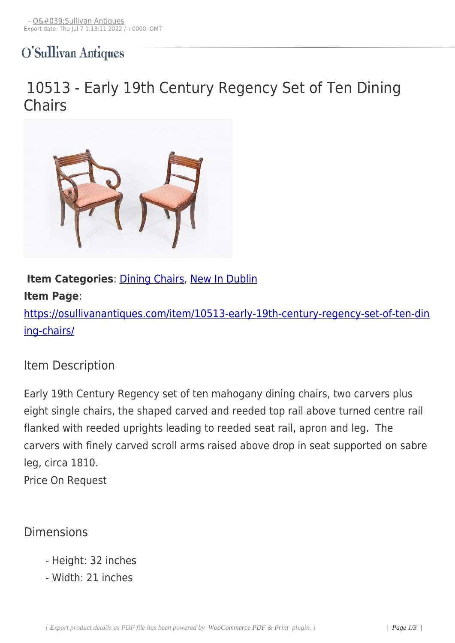# O'Sullivan Antiques

# 10513 - Early 19th Century Regency Set of Ten Dining **Chairs**



### **Item Categories: Dining Chairs, New In Dublin**

#### **Item Page**:

https://osullivananti[ques.com/item](https://osullivanantiques.com/item-category/furniture/chairs-seating/dining-chairs/)[/10513-early-1](https://osullivanantiques.com/item-category/new-in-dublin/)9th-century-regency-set-of-ten-din ing-chairs/

### [Item Desc](https://osullivanantiques.com/item/10513-early-19th-century-regency-set-of-ten-dining-chairs/)ription

Early 19th Century Regency set of ten mahogany dining chairs, two carvers plus eight single chairs, the shaped carved and reeded top rail above turned centre rail flanked with reeded uprights leading to reeded seat rail, apron and leg. The carvers with finely carved scroll arms raised above drop in seat supported on sabre leg, circa 1810. Price On Request

## Dimensions

- Height: 32 inches
- Width: 21 inches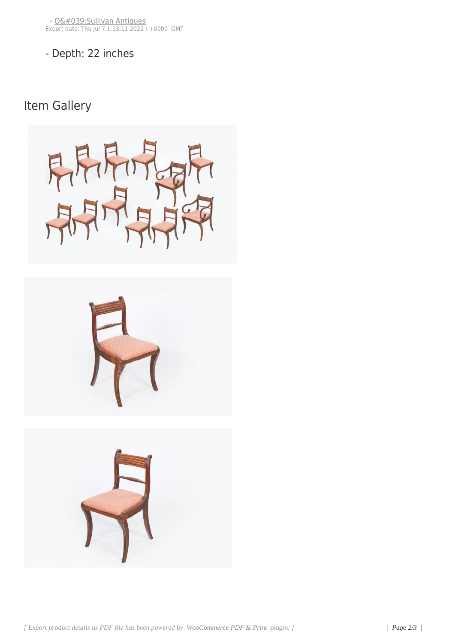- [Depth: 22 inches](https://osullivanantiques.com/?post_type=product&p=7164)

Item Gallery